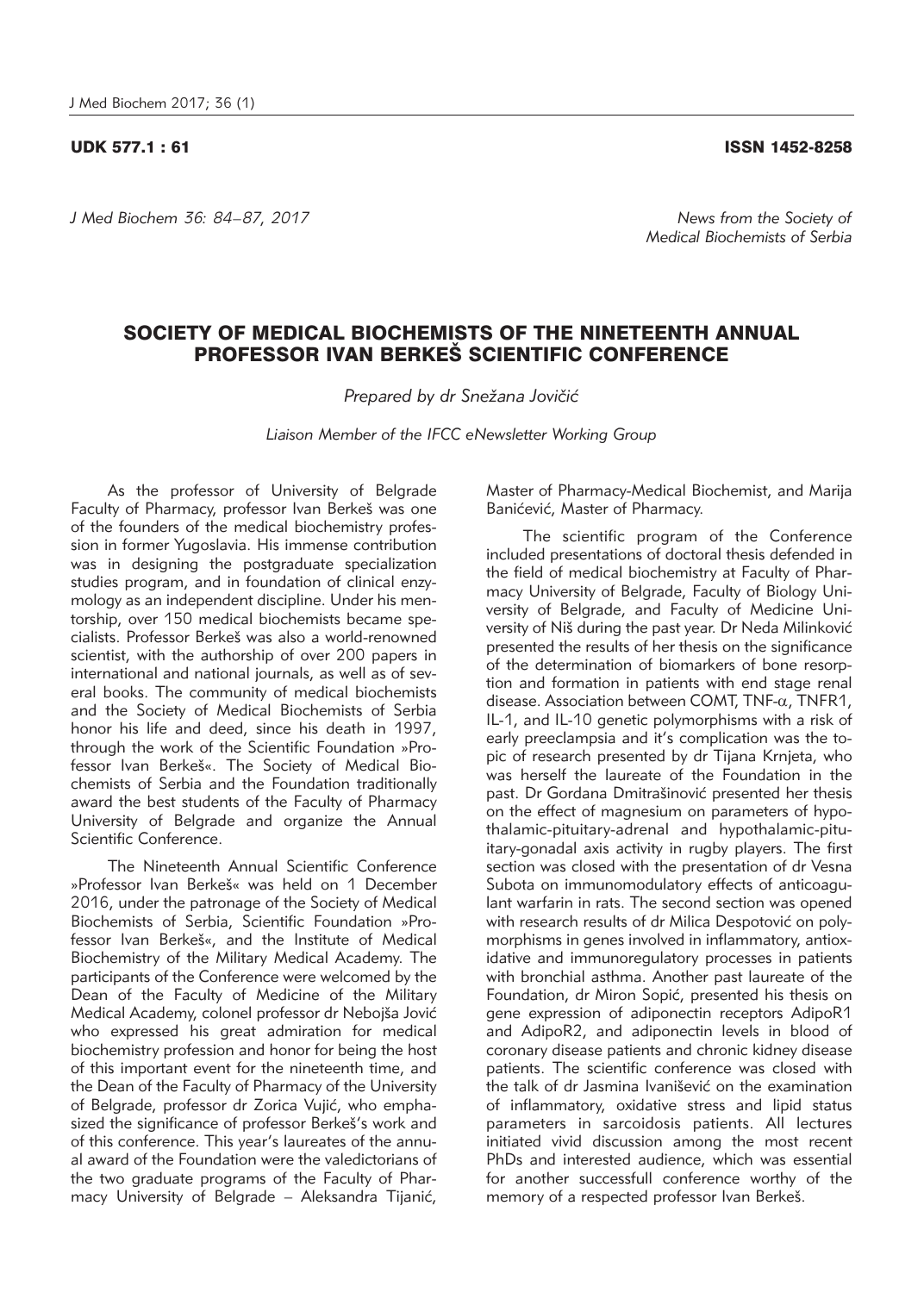## UDK 577.1 : 61 ISSN 1452-8258

*J Med Biochem 36: 84–87, 2017 News from the Society of* 

## SOCIETY OF MEDICAL BIOCHEMISTS OF THE NINETEENTH ANNUAL PROFESSOR IVAN BERKEŠ SCIENTIFIC CONFERENCE

Prepared by dr Snežana Jovičić

*Liaison Member of the IFCC eNewsletter Working Group*

As the professor of University of Belgrade Faculty of Pharmacy, professor Ivan Berkeš was one of the founders of the medical biochemistry profession in former Yugoslavia. His immense contribution was in designing the postgraduate specialization studies program, and in foundation of clinical enzymology as an independent discipline. Under his mentorship, over 150 medical biochemists became specialists. Professor Berkeš was also a world-renowned scientist, with the authorship of over 200 papers in international and national journals, as well as of several books. The community of medical biochemists and the Society of Medical Biochemists of Serbia honor his life and deed, since his death in 1997, through the work of the Scientific Foundation »Professor Ivan Berkeš«. The Society of Medical Biochemists of Serbia and the Foundation traditionally award the best students of the Faculty of Pharmacy University of Belgrade and organize the Annual Scientific Conference

The Nineteenth Annual Scientific Conference »Professor Ivan Berkeš« was held on 1 December 2016, under the patronage of the Society of Medical Biochemists of Serbia, Scientific Foundation »Professor Ivan Berkeš«, and the Institute of Medical Biochemistry of the Military Medical Academy. The participants of the Conference were welcomed by the Dean of the Faculty of Medicine of the Military Medical Academy, colonel professor dr Nebojša Jović who expressed his great admiration for medical biochemistry profession and honor for being the host of this important event for the nineteenth time, and the Dean of the Faculty of Pharmacy of the University of Belgrade, professor dr Zorica Vujić, who emphasized the significance of professor Berkeš's work and of this conference. This year's laureates of the annual award of the Foundation were the valedictorians of the two graduate programs of the Faculty of Pharmacy University of Belgrade - Aleksandra Tijanić,

Master of Pharmacy-Medical Biochemist, and Marija Banićević, Master of Pharmacy.

The scientific program of the Conference included presentations of doctoral thesis defended in the field of medical biochemistry at Faculty of Pharmacy University of Belgrade, Faculty of Biology University of Belgrade, and Faculty of Medicine University of Niš during the past year. Dr Neda Milinković presented the results of her thesis on the significance of the determination of biomarkers of bone resorption and formation in patients with end stage renal disease. Association between COMT,  $TNF-\alpha$ ,  $TNFR1$ , IL-1, and IL-10 genetic polymorphisms with a risk of early preeclampsia and it's complication was the topic of research presented by dr Tijana Krnjeta, who was herself the laureate of the Foundation in the past. Dr Gordana Dmitrašinović presented her thesis on the effect of magnesium on parameters of hypothalamic-pituitary-adrenal and hypothalamic-pituitary-gonadal axis activity in rugby players. The first section was closed with the presentation of dr Vesna Subota on immunomodulatory effects of anticoagulant warfarin in rats. The second section was opened with research results of dr Milica Despotović on polymorphisms in genes involved in inflammatory, antioxidative and immunoregulatory processes in patients with bronchial asthma. Another past laureate of the Foundation, dr Miron Sopić, presented his thesis on gene expression of adiponectin receptors AdipoR1 and AdipoR2, and adiponectin levels in blood of coronary disease patients and chronic kidney disease patients. The scientific conference was closed with .<br>the talk of dr Jasmina Ivanišević on the examination of inflammatory, oxidative stress and lipid status parameters in sarcoidosis patients. All lectures initiated vivid discussion among the most recent PhDs and interested audience, which was essential for another successfull conference worthy of the memory of a respected professor Ivan Berkeš.

*Medical Biochemists of Serbia*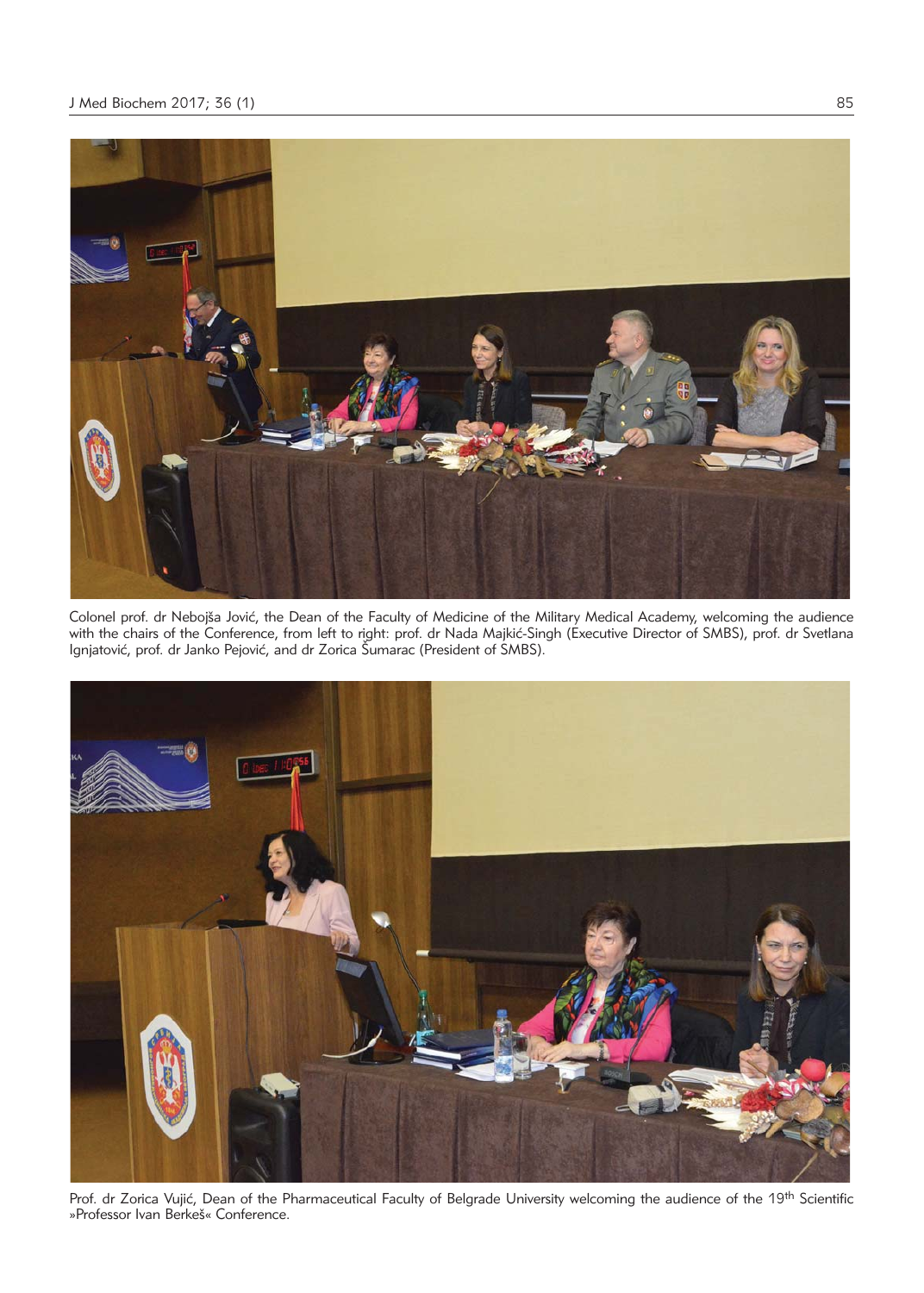

Colonel prof. dr Nebojša Jović, the Dean of the Faculty of Medicine of the Military Medical Academy, welcoming the audience with the chairs of the Conference, from left to right: prof. dr Nada Majkić-Singh (Executive Director of SMBS), prof. dr Svetlana Ignjatović, prof. dr Janko Pejović, and dr Zorica Śumarac (President of SMBS).



Prof. dr Zorica Vujić, Dean of the Pharmaceutical Faculty of Belgrade University welcoming the audience of the 19th Scientific »Professor Ivan Berkeš« Conference.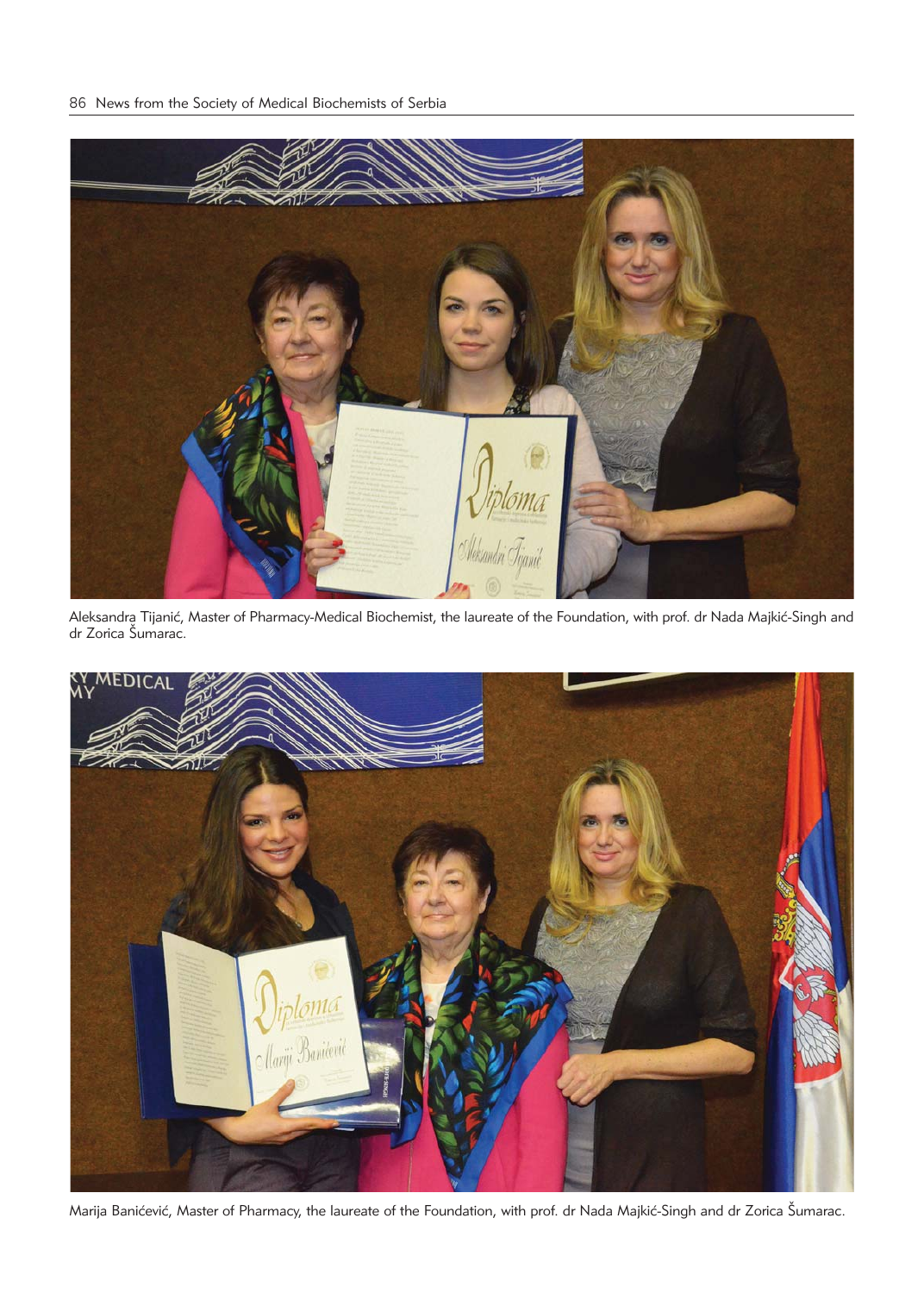

Aleksandra Tijanić, Master of Pharmacy-Medical Biochemist, the laureate of the Foundation, with prof. dr Nada Majkić-Singh and dr Zorica Šumarac.



Marija Banićević, Master of Pharmacy, the laureate of the Foundation, with prof. dr Nada Majkić-Singh and dr Zorica Šumarac.